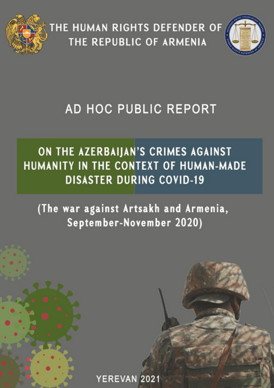

THE HUMAN RIGHTS DEFENDER OF THE REPUBLIC OF ARMENIA



# AD HOC PUBLIC REPORT

# ON THE AZERBAIJAN'S CRIMES AGAINST HUMANITY IN THE CONTEXT OF HUMAN-MADE **DISASTER DURING COVID-19**

(The war against Artsakh and Armenia, September-November 2020)

YEREVAN 2021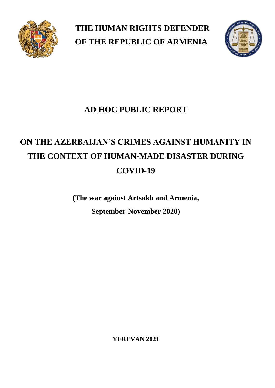

**THE HUMAN RIGHTS DEFENDER OF THE REPUBLIC OF ARMENIA**



## **AD HOC PUBLIC REPORT**

# **ON THE AZERBAIJAN'S CRIMES AGAINST HUMANITY IN THE CONTEXT OF HUMAN-MADE DISASTER DURING COVID-19**

**(The war against Artsakh and Armenia, September-November 2020)**

**YEREVAN 2021**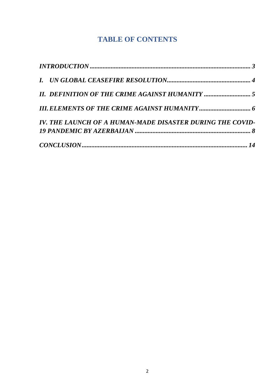## **TABLE OF CONTENTS**

| <b>II. DEFINITION OF THE CRIME AGAINST HUMANITY </b> 5    |  |
|-----------------------------------------------------------|--|
|                                                           |  |
| IV. THE LAUNCH OF A HUMAN-MADE DISASTER DURING THE COVID- |  |
|                                                           |  |
|                                                           |  |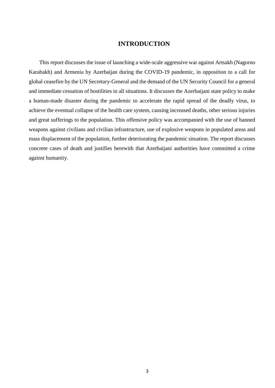#### **INTRODUCTION**

<span id="page-3-0"></span>This report discusses the issue of launching a wide-scale aggressive war against Artsakh (Nagorno Karabakh) and Armenia by Azerbaijan during the COVID-19 pandemic, in opposition to a call for global ceasefire by the UN Secretary-General and the demand of the UN Security Council for a general and immediate cessation of hostilities in all situations. It discusses the Azerbaijani state policy to make a human-made disaster during the pandemic to accelerate the rapid spread of the deadly virus, to achieve the eventual collapse of the health care system, causing increased deaths, other serious injuries and great sufferings to the population. This offensive policy was accompanied with the use of banned weapons against civilians and civilian infrastructure, use of explosive weapons in populated areas and mass displacement of the population, further deteriorating the pandemic situation. The report discusses concrete cases of death and justifies herewith that Azerbaijani authorities have committed a crime against humanity.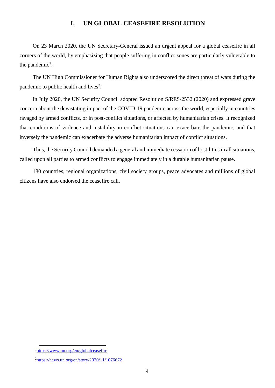### **I. UN GLOBAL CEASEFIRE RESOLUTION**

<span id="page-4-0"></span>On 23 March 2020, the UN Secretary-General issued an urgent appeal for a global ceasefire in all corners of the world, by emphasizing that people suffering in conflict zones are particularly vulnerable to the pandemic<sup>1</sup>.

The UN High Commissioner for Human Rights also underscored the direct threat of wars during the pandemic to public health and lives<sup>2</sup>.

In July 2020, the UN Security Council adopted Resolution S/RES/2532 (2020) and expressed grave concern about the devastating impact of the COVID-19 pandemic across the world, especially in countries ravaged by armed conflicts, or in post-conflict situations, or affected by humanitarian crises. It recognized that conditions of violence and instability in conflict situations can exacerbate the pandemic, and that inversely the pandemic can exacerbate the adverse humanitarian impact of conflict situations.

Thus, the Security Council demanded a general and immediate cessation of hostilities in all situations, called upon all parties to armed conflicts to engage immediately in a durable humanitarian pause.

180 countries, regional organizations, civil society groups, peace advocates and millions of global citizens have also endorsed the ceasefire call.

1

<sup>1</sup><https://www.un.org/en/globalceasefire>

<sup>2</sup><https://news.un.org/en/story/2020/11/1076672>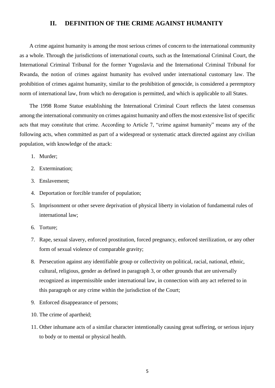### <span id="page-5-0"></span>**II. DEFINITION OF THE CRIME AGAINST HUMANITY**

A crime against humanity is among the most serious crimes of concern to the international community as a whole. Through the jurisdictions of international courts, such as the International Criminal Court, the International Criminal Tribunal for the former Yugoslavia and the International Criminal Tribunal for Rwanda, the notion of crimes against humanity has evolved under international customary law. The prohibition of crimes against humanity, similar to the prohibition of genocide, is considered a peremptory norm of international law, from which no derogation is permitted, and which is applicable to all States.

The 1998 Rome Statue establishing the International Criminal Court reflects the latest consensus among the international community on crimes against humanity and offers the most extensive list of specific acts that may constitute that crime. According to Article 7, "crime against humanity" means any of the following acts, when committed as part of a widespread or systematic attack directed against any civilian population, with knowledge of the attack:

- 1. Murder;
- 2. Extermination;
- 3. Enslavement;
- 4. Deportation or forcible transfer of population;
- 5. Imprisonment or other severe deprivation of physical liberty in violation of fundamental rules of international law;
- 6. Torture;
- 7. Rape, sexual slavery, enforced prostitution, forced pregnancy, enforced sterilization, or any other form of sexual violence of comparable gravity;
- 8. Persecution against any identifiable group or collectivity on political, racial, national, ethnic, cultural, religious, gender as defined in paragraph 3, or other grounds that are universally recognized as impermissible under international law, in connection with any act referred to in this paragraph or any crime within the jurisdiction of the Court;
- 9. Enforced disappearance of persons;
- 10. The crime of apartheid;
- 11. Other inhumane acts of a similar character intentionally causing great suffering, or serious injury to body or to mental or physical health.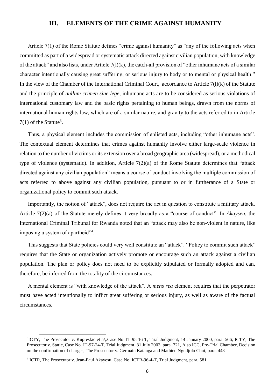### <span id="page-6-0"></span>**III. ELEMENTS OF THE CRIME AGAINST HUMANITY**

Article 7(1) of the Rome Statute defines "crime against humanity" as "any of the following acts when committed as part of a widespread or systematic attack directed against civilian population, with knowledge of the attack" and also lists, under Article 7(l)(k), the catch-all provision of "other inhumane acts of a similar character intentionally causing great suffering, or serious injury to body or to mental or physical health." In the view of the Chamber of the International Criminal Court, accordance to Article 7(l)(k) of the Statute and the principle of *nullum crimen sine lege*, inhumane acts are to be considered as serious violations of international customary law and the basic rights pertaining to human beings, drawn from the norms of international human rights law, which are of a similar nature, and gravity to the acts referred to in Article  $7(1)$  of the Statute<sup>3</sup>.

Thus, a physical element includes the commission of enlisted acts, including "other inhumane acts". The contextual element determines that crimes against humanity involve either large-scale violence in relation to the number of victims or its extension over a broad geographic area (widespread), or a methodical type of violence (systematic). In addition, Article 7(2)(a) of the Rome Statute determines that "attack directed against any civilian population" means a course of conduct involving the multiple commission of acts referred to above against any civilian population, pursuant to or in furtherance of a State or organizational policy to commit such attack.

Importantly, the notion of "attack", does not require the act in question to constitute a military attack. Article 7(2)(a) of the Statute merely defines it very broadly as a "course of conduct". In *Akayseu*, the International Criminal Tribunal for Rwanda noted that an "attack may also be non-violent in nature, like imposing a system of apartheid"<sup>4</sup>.

This suggests that State policies could very well constitute an "attack". "Policy to commit such attack" requires that the State or organization actively promote or encourage such an attack against a civilian population. The plan or policy does not need to be explicitly stipulated or formally adopted and can, therefore, be inferred from the totality of the circumstances.

A mental element is "with knowledge of the attack". A *mens rea* element requires that the perpetrator must have acted intentionally to inflict great suffering or serious injury, as well as aware of the factual circumstances.

**.** 

<sup>&</sup>lt;sup>3</sup>ICTY, The Prosecutor v. Kupreskic et a/, Case No. IT-95-16-T, Trial Judgment, 14 January 2000, para. 566; ICTY, The Prosecutor v. Static, Case No. IT-97-24-T, Trial Judgment, 31 July 2003, para. 721, Also ICC, Pre-Trial Chamber, Decision on the confirmation of charges, The Prosecutor v. Germain Katanga and Mathieu Ngudjolo Chui, para. 448

<sup>4</sup> ICTR, The Prosecutor v. Jean-Paul Akayesu, Case No. ICTR-96-4-T, Trial Judgment, para. 581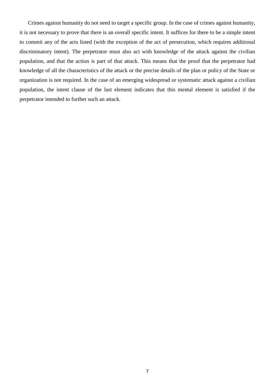Crimes against humanity do not need to target a specific group. In the case of crimes against humanity, it is not necessary to prove that there is an overall specific intent. It suffices for there to be a simple intent to commit any of the acts listed (with the exception of the act of persecution, which requires additional discriminatory intent). The perpetrator must also act with knowledge of the attack against the civilian population, and that the action is part of that attack. This means that the proof that the perpetrator had knowledge of all the characteristics of the attack or the precise details of the plan or policy of the State or organization is not required. In the case of an emerging widespread or systematic attack against a civilian population, the intent clause of the last element indicates that this mental element is satisfied if the perpetrator intended to further such an attack.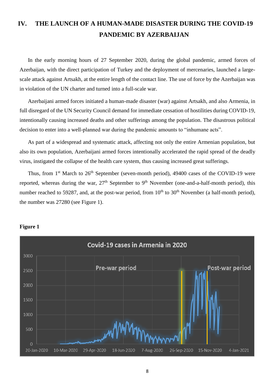## <span id="page-8-0"></span>**IV. THE LAUNCH OF A HUMAN-MADE DISASTER DURING THE COVID-19 PANDEMIC BY AZERBAIJAN**

In the early morning hours of 27 September 2020, during the global pandemic, armed forces of Azerbaijan, with the direct participation of Turkey and the deployment of mercenaries, launched a largescale attack against Artsakh, at the entire length of the contact line. The use of force by the Azerbaijan was in violation of the UN charter and turned into a full-scale war.

Azerbaijani armed forces initiated a human-made disaster (war) against Artsakh, and also Armenia, in full disregard of the UN Security Council demand for immediate cessation of hostilities during COVID-19, intentionally causing increased deaths and other sufferings among the population. The disastrous political decision to enter into a well-planned war during the pandemic amounts to "inhumane acts".

As part of a widespread and systematic attack, affecting not only the entire Armenian population, but also its own population, Azerbaijani armed forces intentionally accelerated the rapid spread of the deadly virus, instigated the collapse of the health care system, thus causing increased great sufferings.

Thus, from  $1<sup>st</sup>$  March to  $26<sup>th</sup>$  September (seven-month period), 49400 cases of the COVID-19 were reported, whereas during the war,  $27<sup>th</sup>$  September to 9<sup>th</sup> November (one-and-a-half-month period), this number reached to 59287, and, at the post-war period, from  $10<sup>th</sup>$  to  $30<sup>th</sup>$  November (a half-month period), the number was 27280 (see Figure 1).



#### **Figure 1**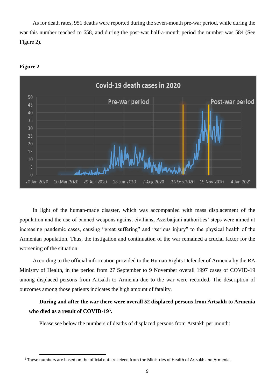As for death rates, 951 deaths were reported during the seven-month pre-war period, while during the war this number reached to 658, and during the post-war half-a-month period the number was 584 (See Figure 2).



#### **Figure 2**

1

In light of the human-made disaster, which was accompanied with mass displacement of the population and the use of banned weapons against civilians, Azerbaijani authorities' steps were aimed at increasing pandemic cases, causing "great suffering" and "serious injury" to the physical health of the Armenian population. Thus, the instigation and continuation of the war remained a crucial factor for the worsening of the situation.

According to the official information provided to the Human Rights Defender of Armenia by the RA Ministry of Health, in the period from 27 September to 9 November overall 1997 cases of COVID-19 among displaced persons from Artsakh to Armenia due to the war were recorded. The description of outcomes among those patients indicates the high amount of fatality.

### **During and after the war there were overall 52 displaced persons from Artsakh to Armenia who died as a result of COVID-19<sup>5</sup> .**

Please see below the numbers of deaths of displaced persons from Arstakh per month:

<sup>5</sup> These numbers are based on the official data received from the Ministries of Health of Artsakh and Armenia.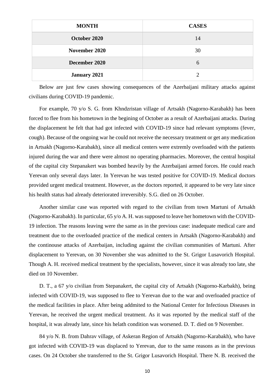| <b>MONTH</b>        | <b>CASES</b>  |
|---------------------|---------------|
| October 2020        | 14            |
| November 2020       | 30            |
| December 2020       | 6             |
| <b>January 2021</b> | $\mathcal{D}$ |

Below are just few cases showing consequences of the Azerbaijani military attacks against civilians during COVID-19 pandemic.

For example, 70 y/o S. G. from Khndzristan village of Artsakh (Nagorno-Karabakh) has been forced to flee from his hometown in the begining of October as a result of Azerbaijani attacks. During the displacement he felt that had got infected with COVID-19 since had relevant symptoms (fever, cough). Because of the ongoing war he could not receive the necessary treatment or get any medication in Artsakh (Nagorno-Karabakh), since all medical centers were extremly overloaded with the patients injured during the war and there were almost no operating pharmacies. Moreover, the central hospital of the capital city Stepanakert was bombed heavily by the Azerbaijani armed forces. He could reach Yerevan only several days later. In Yerevan he was tested positive for COVID-19. Medical doctors provided urgent medical treatment. However, as the doctors reported, it appeared to be very late since his health status had already deteriorated irreversibly. S.G. died on 26 October.

Another similar case was reported with regard to the civilian from town Martuni of Artsakh (Nagorno-Karabakh). In particular, 65 y/o A. H. was supposed to leave her hometown with the COVID-19 infection. The reasons leaving were the same as in the previous case: inadequate medical care and treatment due to the overloaded practice of the medical centers in Artsakh (Nagorno-Karabakh) and the continouse attacks of Azerbaijan, including against the civilian communities of Martuni. After displacement to Yerevan, on 30 November she was admitted to the St. Grigor Lusavorich Hospital. Though A. H. received medical treatment by the specialists, however, since it was already too late, she died on 10 November.

D. T., a 67 y/o civilian from Stepanakert, the capital city of Artsakh (Nagorno-Karbakh), being infected with COVID-19, was supposed to flee to Yerevan due to the war and overloaded practice of the medical facilities in place. After being addmited to the National Center for Infectious Diseases in Yerevan, he received the urgent medical treatment. As it was reported by the medical staff of the hospital, it was already late, since his helath condition was worsened. D. T. died on 9 November.

84 y/o N. B. from Dahrav village, of Askeran Region of Artsakh (Nagorno-Karabakh), who have got infected with COVID-19 was displaced to Yerevan, due to the same reasons as in the previous cases. On 24 October she transferred to the St. Grigor Lusavorich Hospital. There N. B. received the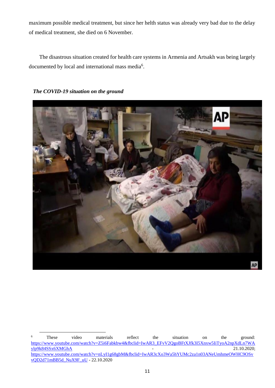maximum possible medical treatment, but since her helth status was already very bad due to the delay of medical treatment, she died on 6 November.

The disastrous situation created for health care systems in Armenia and Artsakh was being largely documented by local and international mass media<sup>6</sup>.

**AP** 

*The COVID-19 situation on the ground*

 $\overline{a}$ 

<sup>&</sup>lt;sup>6</sup> These video materials reflect the situation on the ground: [https://www.youtube.com/watch?v=Z5i6Fabkbw4&fbclid=IwAR3\\_EFvV2QgoBFtXJfk3I5Xnxw5IiTyoA2npXdLn7WA](https://www.youtube.com/watch?v=Z5i6Fabkbw4&fbclid=IwAR3_EFvV2QgoBFtXJfk3I5Xnxw5IiTyoA2npXdLn7WAylp9k84SSx6XMGhA)  $y$ lp9k84SSx6XMGhA  $21.10.2020$ ; [https://www.youtube.com/watch?v=nLyI1g68gbM&fbclid=IwAR3cXo3Wa5hYUMc2za1n03ANeUmhmeOWHC9OSv](https://www.youtube.com/watch?v=nLyI1g68gbM&fbclid=IwAR3cXo3Wa5hYUMc2za1n03ANeUmhmeOWHC9OSvvQD2d71mBB5d_NuX9F_uU) [vQD2d71mBB5d\\_NuX9F\\_uU](https://www.youtube.com/watch?v=nLyI1g68gbM&fbclid=IwAR3cXo3Wa5hYUMc2za1n03ANeUmhmeOWHC9OSvvQD2d71mBB5d_NuX9F_uU) - 22.10.2020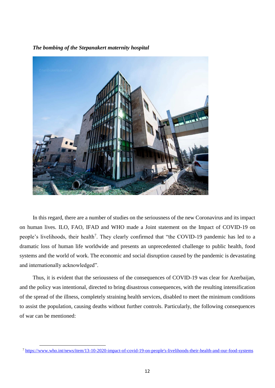

*The bombing of the Stepanakert maternity hospital*

In this regard, there are a number of studies on the seriousness of the new Coronavirus and its impact on human lives. ILO, FAO, IFAD and WHO made a Joint statement on the Impact of COVID-19 on people's livelihoods, their health<sup>7</sup>. They clearly confirmed that "the COVID-19 pandemic has led to a dramatic loss of human life worldwide and presents an unprecedented challenge to public health, food systems and the world of work. The economic and social disruption caused by the pandemic is devastating and internationally acknowledged".

Thus, it is evident that the seriousness of the consequences of COVID-19 was clear for Azerbaijan, and the policy was intentional, directed to bring disastrous consequences, with the resulting intensification of the spread of the illness, completely straining health services, disabled to meet the minimum conditions to assist the population, causing deaths without further controls. Particularly, the following consequences of war can be mentioned:

1

<sup>&</sup>lt;sup>7</sup> [https://www.who.int/news/item/13-10-2020-impact-of-covid-19-on-people's-livelihoods-their-health-and-our-food-systems](https://www.who.int/news/item/13-10-2020-impact-of-covid-19-on-people)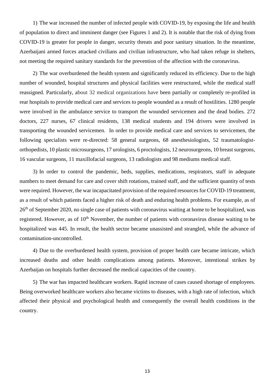1) The war increased the number of infected people with COVID-19, by exposing the life and health of population to direct and imminent danger (see Figures 1 and 2). It is notable that the risk of dying from COVID-19 is greater for people in danger, security threats and poor sanitary situation. In the meantime, Azerbaijani armed forces attacked civilians and civilian infrastructure, who had taken refuge in shelters, not meeting the required sanitary standards for the prevention of the affection with the coronavirus.

2) The war overburdened the health system and significantly reduced its efficiency. Due to the high number of wounded, hospital structures and physical facilities were restructured, while the medical staff reassigned. Particularly, about 32 medical organizations have been partially or completely re-profiled in rear hospitals to provide medical care and services to people wounded as a result of hostilities. 1280 people were involved in the ambulance service to transport the wounded servicemen and the dead bodies. 272 doctors, 227 nurses, 67 clinical residents, 138 medical students and 194 drivers were involved in transporting the wounded servicemen. In order to provide medical care and services to servicemen, the following specialists were re-directed: 58 general surgeons, 68 anesthesiologists, 52 traumatologistorthopedists, 10 plastic microsurgeons, 17 urologists, 6 proctologists, 12 neurosurgeons, 10 breast surgeons, 16 vascular surgeons, 11 maxillofacial surgeons, 13 radiologists and 98 mediums medical staff.

3) In order to control the pandemic, beds, supplies, medications, respirators, staff in adequate numbers to meet demand for care and cover shift rotations, trained staff, and the sufficient quantity of tests were required. However, the war incapacitated provision of the required resources for COVID-19 treatment, as a result of which patients faced a higher risk of death and enduring health problems. For example, as of 26th of September 2020, no single case of patients with coronavirus waiting at home to be hospitalized, was registered. However, as of  $10<sup>th</sup>$  November, the number of patients with coronavirus disease waiting to be hospitalized was 445. In result, the health sector became unassisted and strangled, while the advance of contamination-uncontrolled.

4) Due to the overburdened health system, provision of proper health care became intricate, which increased deaths and other health complications among patients. Moreover, intentional strikes by Azerbaijan on hospitals further decreased the medical capacities of the country.

5) The war has impacted healthcare workers. Rapid increase of cases caused shortage of employees. Being overworked healthcare workers also became victims to diseases, with a high rate of infection, which affected their physical and psychological health and consequently the overall health conditions in the country.